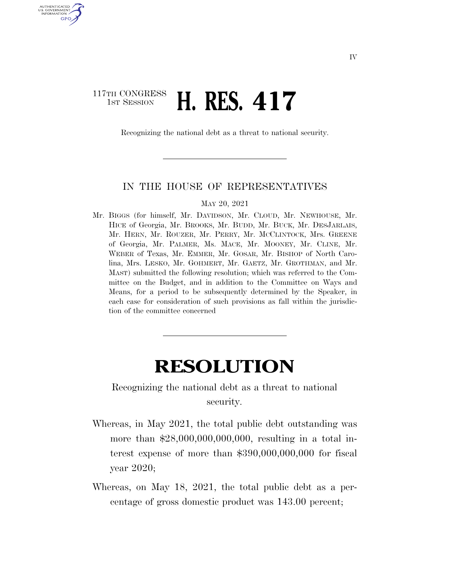## 117TH CONGRESS **1st Session H. RES. 417**

U.S. GOVERNMENT GPO

Recognizing the national debt as a threat to national security.

## IN THE HOUSE OF REPRESENTATIVES

MAY 20, 2021

Mr. BIGGS (for himself, Mr. DAVIDSON, Mr. CLOUD, Mr. NEWHOUSE, Mr. HICE of Georgia, Mr. BROOKS, Mr. BUDD, Mr. BUCK, Mr. DESJARLAIS, Mr. HERN, Mr. ROUZER, Mr. PERRY, Mr. MCCLINTOCK, Mrs. GREENE of Georgia, Mr. PALMER, Ms. MACE, Mr. MOONEY, Mr. CLINE, Mr. WEBER of Texas, Mr. EMMER, Mr. GOSAR, Mr. BISHOP of North Carolina, Mrs. LESKO, Mr. GOHMERT, Mr. GAETZ, Mr. GROTHMAN, and Mr. MAST) submitted the following resolution; which was referred to the Committee on the Budget, and in addition to the Committee on Ways and Means, for a period to be subsequently determined by the Speaker, in each case for consideration of such provisions as fall within the jurisdiction of the committee concerned

## **RESOLUTION**

Recognizing the national debt as a threat to national security.

- Whereas, in May 2021, the total public debt outstanding was more than \$28,000,000,000,000, resulting in a total interest expense of more than \$390,000,000,000 for fiscal year 2020;
- Whereas, on May 18, 2021, the total public debt as a percentage of gross domestic product was 143.00 percent;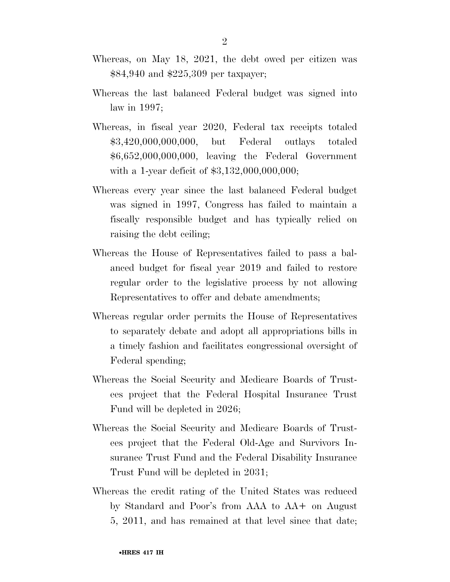- Whereas, on May 18, 2021, the debt owed per citizen was \$84,940 and \$225,309 per taxpayer;
- Whereas the last balanced Federal budget was signed into law in 1997;
- Whereas, in fiscal year 2020, Federal tax receipts totaled \$3,420,000,000,000, but Federal outlays totaled \$6,652,000,000,000, leaving the Federal Government with a 1-year deficit of \$3,132,000,000,000;
- Whereas every year since the last balanced Federal budget was signed in 1997, Congress has failed to maintain a fiscally responsible budget and has typically relied on raising the debt ceiling;
- Whereas the House of Representatives failed to pass a balanced budget for fiscal year 2019 and failed to restore regular order to the legislative process by not allowing Representatives to offer and debate amendments;
- Whereas regular order permits the House of Representatives to separately debate and adopt all appropriations bills in a timely fashion and facilitates congressional oversight of Federal spending;
- Whereas the Social Security and Medicare Boards of Trustees project that the Federal Hospital Insurance Trust Fund will be depleted in 2026;
- Whereas the Social Security and Medicare Boards of Trustees project that the Federal Old-Age and Survivors Insurance Trust Fund and the Federal Disability Insurance Trust Fund will be depleted in 2031;
- Whereas the credit rating of the United States was reduced by Standard and Poor's from AAA to AA+ on August 5, 2011, and has remained at that level since that date;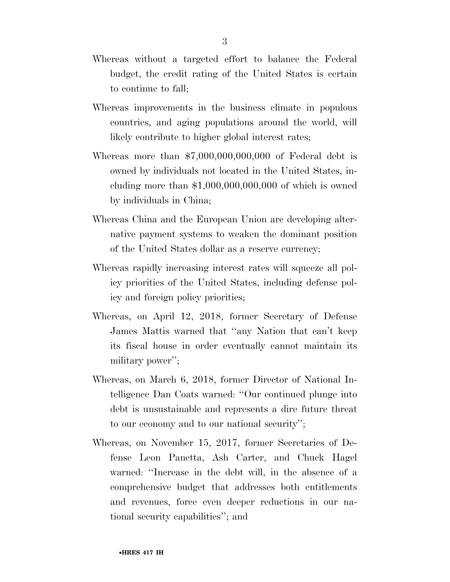- Whereas without a targeted effort to balance the Federal budget, the credit rating of the United States is certain to continue to fall;
- Whereas improvements in the business climate in populous countries, and aging populations around the world, will likely contribute to higher global interest rates;
- Whereas more than \$7,000,000,000,000 of Federal debt is owned by individuals not located in the United States, including more than \$1,000,000,000,000 of which is owned by individuals in China;
- Whereas China and the European Union are developing alternative payment systems to weaken the dominant position of the United States dollar as a reserve currency;
- Whereas rapidly increasing interest rates will squeeze all policy priorities of the United States, including defense policy and foreign policy priorities;
- Whereas, on April 12, 2018, former Secretary of Defense James Mattis warned that ''any Nation that can't keep its fiscal house in order eventually cannot maintain its military power'';
- Whereas, on March 6, 2018, former Director of National Intelligence Dan Coats warned: ''Our continued plunge into debt is unsustainable and represents a dire future threat to our economy and to our national security'';
- Whereas, on November 15, 2017, former Secretaries of Defense Leon Panetta, Ash Carter, and Chuck Hagel warned: ''Increase in the debt will, in the absence of a comprehensive budget that addresses both entitlements and revenues, force even deeper reductions in our national security capabilities''; and